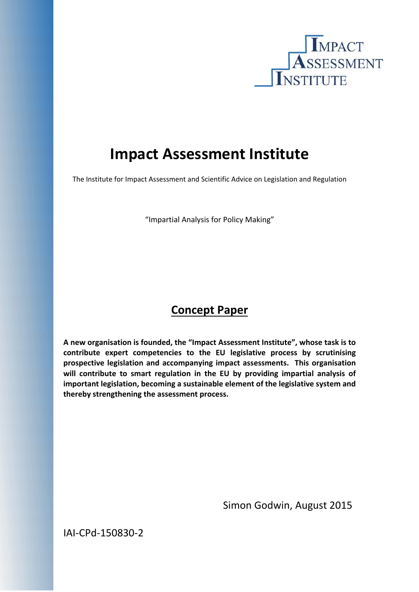

# **Impact Assessment Institute**

The Institute for Impact Assessment and Scientific Advice on Legislation and Regulation

"Impartial Analysis for Policy Making"

## **Concept Paper**

**A new organisation is founded, the "Impact Assessment Institute", whose task is to contribute expert competencies to the EU legislative process by scrutinising prospective legislation and accompanying impact assessments. This organisation will contribute to smart regulation in the EU by providing impartial analysis of important legislation, becoming a sustainable element of the legislative system and thereby strengthening the assessment process.** 

Simon Godwin, August 2015

IAI‐CPd‐150830‐2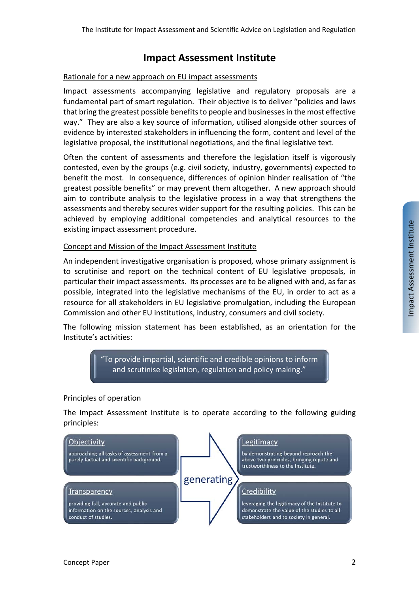## **Impact Assessment Institute**

#### Rationale for a new approach on EU impact assessments

Impact assessments accompanying legislative and regulatory proposals are a fundamental part of smart regulation. Their objective is to deliver "policies and laws that bring the greatest possible benefits to people and businesses in the most effective way." They are also a key source of information, utilised alongside other sources of evidence by interested stakeholders in influencing the form, content and level of the legislative proposal, the institutional negotiations, and the final legislative text.

Often the content of assessments and therefore the legislation itself is vigorously contested, even by the groups (e.g. civil society, industry, governments) expected to benefit the most. In consequence, differences of opinion hinder realisation of "the greatest possible benefits" or may prevent them altogether. A new approach should aim to contribute analysis to the legislative process in a way that strengthens the assessments and thereby secures wider support for the resulting policies. This can be achieved by employing additional competencies and analytical resources to the existing impact assessment procedure.

#### Concept and Mission of the Impact Assessment Institute

An independent investigative organisation is proposed, whose primary assignment is to scrutinise and report on the technical content of EU legislative proposals, in particular their impact assessments. Its processes are to be aligned with and, as far as possible, integrated into the legislative mechanisms of the EU, in order to act as a resource for all stakeholders in EU legislative promulgation, including the European Commission and other EU institutions, industry, consumers and civil society.

The following mission statement has been established, as an orientation for the Institute's activities:

> To provide impartial, scientific and credible opinions to inform and scrutinise legislation, regulation and policy making."

#### Principles of operation

The Impact Assessment Institute is to operate according to the following guiding principles: